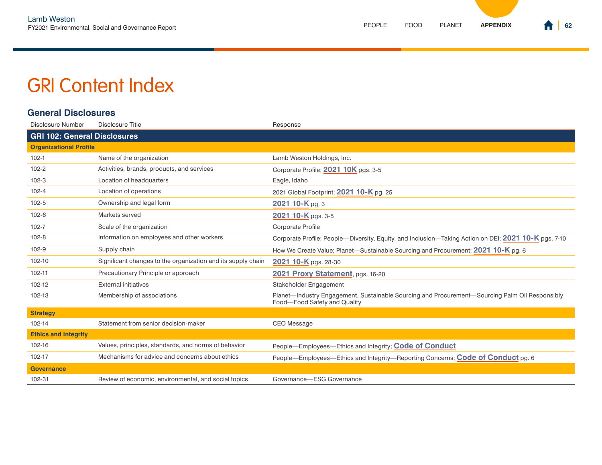#### **General Disclosures**

| Disclosure Number                   | Disclosure Title                                             | Response                                                                                                                       |
|-------------------------------------|--------------------------------------------------------------|--------------------------------------------------------------------------------------------------------------------------------|
| <b>GRI 102: General Disclosures</b> |                                                              |                                                                                                                                |
| <b>Organizational Profile</b>       |                                                              |                                                                                                                                |
| $102 - 1$                           | Name of the organization                                     | Lamb Weston Holdings, Inc.                                                                                                     |
| $102 - 2$                           | Activities, brands, products, and services                   | Corporate Profile; 2021 10K pgs. 3-5                                                                                           |
| $102 - 3$                           | Location of headquarters                                     | Eagle, Idaho                                                                                                                   |
| $102 - 4$                           | Location of operations                                       | 2021 Global Footprint; 2021 10-K pg. 25                                                                                        |
| $102 - 5$                           | Ownership and legal form                                     | 2021 10-K pg. 3                                                                                                                |
| $102 - 6$                           | Markets served                                               | 2021 10-K pgs. 3-5                                                                                                             |
| $102 - 7$                           | Scale of the organization                                    | Corporate Profile                                                                                                              |
| $102 - 8$                           | Information on employees and other workers                   | Corporate Profile; People—Diversity, Equity, and Inclusion—Taking Action on DEI; 2021 10-K pgs. 7-10                           |
| $102-9$                             | Supply chain                                                 | How We Create Value; Planet—Sustainable Sourcing and Procurement; 2021 10-K pg. 6                                              |
| 102-10                              | Significant changes to the organization and its supply chain | 2021 10-K pgs. 28-30                                                                                                           |
| 102-11                              | Precautionary Principle or approach                          | 2021 Proxy Statement, pgs. 16-20                                                                                               |
| 102-12                              | <b>External initiatives</b>                                  | Stakeholder Engagement                                                                                                         |
| 102-13                              | Membership of associations                                   | Planet—Industry Engagement, Sustainable Sourcing and Procurement—Sourcing Palm Oil Responsibly<br>Food-Food Safety and Quality |
| <b>Strategy</b>                     |                                                              |                                                                                                                                |
| 102-14                              | Statement from senior decision-maker                         | <b>CEO</b> Message                                                                                                             |
| <b>Ethics and Integrity</b>         |                                                              |                                                                                                                                |
| 102-16                              | Values, principles, standards, and norms of behavior         | People-Employees-Ethics and Integrity; Code of Conduct                                                                         |
| 102-17                              | Mechanisms for advice and concerns about ethics              | People—Employees—Ethics and Integrity—Reporting Concerns; Code of Conduct pg. 6                                                |
| <b>Governance</b>                   |                                                              |                                                                                                                                |
| 102-31                              | Review of economic, environmental, and social topics         | Governance-ESG Governance                                                                                                      |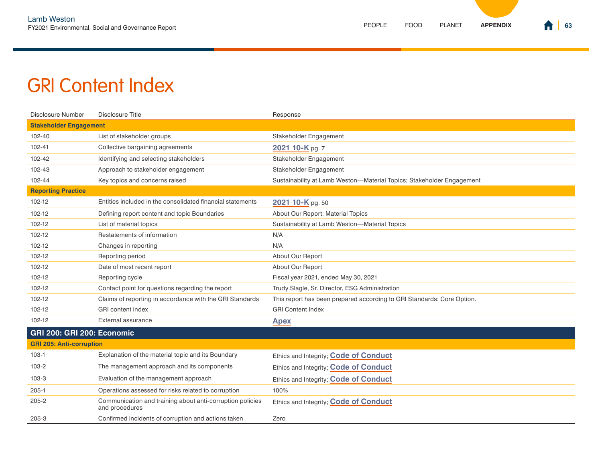| Disclosure Number                 | Disclosure Title                                                            | Response                                                               |  |
|-----------------------------------|-----------------------------------------------------------------------------|------------------------------------------------------------------------|--|
| <b>Stakeholder Engagement</b>     |                                                                             |                                                                        |  |
| 102-40                            | List of stakeholder groups                                                  | Stakeholder Engagement                                                 |  |
| $102 - 41$                        | Collective bargaining agreements                                            | 2021 10-K pg. 7                                                        |  |
| 102-42                            | Identifying and selecting stakeholders                                      | Stakeholder Engagement                                                 |  |
| 102-43                            | Approach to stakeholder engagement                                          | Stakeholder Engagement                                                 |  |
| 102-44                            | Key topics and concerns raised                                              | Sustainability at Lamb Weston-Material Topics; Stakeholder Engagement  |  |
| <b>Reporting Practice</b>         |                                                                             |                                                                        |  |
| 102-12                            | Entities included in the consolidated financial statements                  | 2021 10-K pg. 50                                                       |  |
| 102-12                            | Defining report content and topic Boundaries                                | About Our Report; Material Topics                                      |  |
| 102-12                            | List of material topics                                                     | Sustainability at Lamb Weston-Material Topics                          |  |
| 102-12                            | Restatements of information                                                 | N/A                                                                    |  |
| 102-12                            | Changes in reporting                                                        | N/A                                                                    |  |
| 102-12                            | Reporting period                                                            | About Our Report                                                       |  |
| 102-12                            | Date of most recent report                                                  | About Our Report                                                       |  |
| 102-12                            | Reporting cycle                                                             | Fiscal year 2021, ended May 30, 2021                                   |  |
| 102-12                            | Contact point for questions regarding the report                            | Trudy Slagle, Sr. Director, ESG Administration                         |  |
| 102-12                            | Claims of reporting in accordance with the GRI Standards                    | This report has been prepared according to GRI Standards: Core Option. |  |
| 102-12                            | <b>GRI</b> content index                                                    | <b>GRI Content Index</b>                                               |  |
| 102-12                            | External assurance                                                          | <b>Apex</b>                                                            |  |
| <b>GRI 200: GRI 200: Economic</b> |                                                                             |                                                                        |  |
| <b>GRI 205: Anti-corruption</b>   |                                                                             |                                                                        |  |
| $103-1$                           | Explanation of the material topic and its Boundary                          | Ethics and Integrity; Code of Conduct                                  |  |
| $103 - 2$                         | The management approach and its components                                  | Ethics and Integrity; Code of Conduct                                  |  |
| $103-3$                           | Evaluation of the management approach                                       | Ethics and Integrity; Code of Conduct                                  |  |
| $205 - 1$                         | Operations assessed for risks related to corruption                         | 100%                                                                   |  |
| $205 - 2$                         | Communication and training about anti-corruption policies<br>and procedures | Ethics and Integrity; Code of Conduct                                  |  |
| $205 - 3$                         | Confirmed incidents of corruption and actions taken                         | Zero                                                                   |  |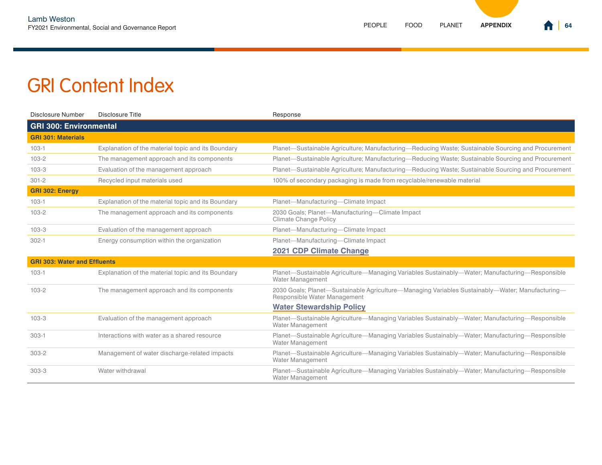| Disclosure Number                   | Disclosure Title                                   | Response                                                                                                                        |
|-------------------------------------|----------------------------------------------------|---------------------------------------------------------------------------------------------------------------------------------|
| <b>GRI 300: Environmental</b>       |                                                    |                                                                                                                                 |
| <b>GRI 301: Materials</b>           |                                                    |                                                                                                                                 |
| $103 - 1$                           | Explanation of the material topic and its Boundary | Planet—Sustainable Agriculture; Manufacturing—Reducing Waste; Sustainable Sourcing and Procurement                              |
| $103 - 2$                           | The management approach and its components         | Planet—Sustainable Agriculture; Manufacturing—Reducing Waste; Sustainable Sourcing and Procurement                              |
| $103 - 3$                           | Evaluation of the management approach              | Planet—Sustainable Agriculture; Manufacturing—Reducing Waste; Sustainable Sourcing and Procurement                              |
| $301 - 2$                           | Recycled input materials used                      | 100% of secondary packaging is made from recyclable/renewable material                                                          |
| GRI 302: Energy                     |                                                    |                                                                                                                                 |
| $103 - 1$                           | Explanation of the material topic and its Boundary | Planet-Manufacturing-Climate Impact                                                                                             |
| $103 - 2$                           | The management approach and its components         | 2030 Goals; Planet-Manufacturing-Climate Impact<br><b>Climate Change Policy</b>                                                 |
| $103 - 3$                           | Evaluation of the management approach              | Planet-Manufacturing-Climate Impact                                                                                             |
| $302 - 1$                           | Energy consumption within the organization         | Planet-Manufacturing-Climate Impact                                                                                             |
|                                     |                                                    | <b>2021 CDP Climate Change</b>                                                                                                  |
| <b>GRI 303: Water and Effluents</b> |                                                    |                                                                                                                                 |
| $103 - 1$                           | Explanation of the material topic and its Boundary | Planet—Sustainable Agriculture—Managing Variables Sustainably—Water; Manufacturing—Responsible<br>Water Management              |
| $103 - 2$                           | The management approach and its components         | 2030 Goals; Planet—Sustainable Agriculture—Managing Variables Sustainably—Water; Manufacturing—<br>Responsible Water Management |
|                                     |                                                    | <b>Water Stewardship Policy</b>                                                                                                 |
| $103 - 3$                           | Evaluation of the management approach              | Planet—Sustainable Agriculture—Managing Variables Sustainably—Water; Manufacturing—Responsible<br>Water Management              |
| $303 - 1$                           | Interactions with water as a shared resource       | Planet-Sustainable Agriculture-Managing Variables Sustainably-Water; Manufacturing-Responsible<br>Water Management              |
| $303 - 2$                           | Management of water discharge-related impacts      | Planet—Sustainable Agriculture—Managing Variables Sustainably—Water; Manufacturing—Responsible<br>Water Management              |
| $303 - 3$                           | Water withdrawal                                   | Planet—Sustainable Agriculture—Managing Variables Sustainably—Water; Manufacturing—Responsible<br>Water Management              |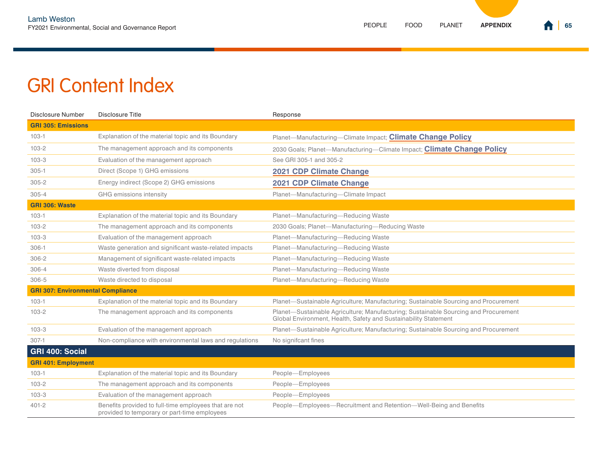| <b>Disclosure Number</b>                 | <b>Disclosure Title</b>                                                                               | Response                                                                                                                                               |
|------------------------------------------|-------------------------------------------------------------------------------------------------------|--------------------------------------------------------------------------------------------------------------------------------------------------------|
| <b>GRI 305: Emissions</b>                |                                                                                                       |                                                                                                                                                        |
| $103-1$                                  | Explanation of the material topic and its Boundary                                                    | Planet-Manufacturing-Climate Impact; Climate Change Policy                                                                                             |
| $103 - 2$                                | The management approach and its components                                                            | 2030 Goals; Planet-Manufacturing-Climate Impact; Climate Change Policy                                                                                 |
| $103 - 3$                                | Evaluation of the management approach                                                                 | See GRI 305-1 and 305-2                                                                                                                                |
| $305-1$                                  | Direct (Scope 1) GHG emissions                                                                        | <b>2021 CDP Climate Change</b>                                                                                                                         |
| $305 - 2$                                | Energy indirect (Scope 2) GHG emissions                                                               | 2021 CDP Climate Change                                                                                                                                |
| $305 - 4$                                | GHG emissions intensity                                                                               | Planet-Manufacturing-Climate Impact                                                                                                                    |
| GRI 306: Waste                           |                                                                                                       |                                                                                                                                                        |
| $103 - 1$                                | Explanation of the material topic and its Boundary                                                    | Planet-Manufacturing-Reducing Waste                                                                                                                    |
| $103 - 2$                                | The management approach and its components                                                            | 2030 Goals; Planet-Manufacturing-Reducing Waste                                                                                                        |
| $103 - 3$                                | Evaluation of the management approach                                                                 | Planet-Manufacturing-Reducing Waste                                                                                                                    |
| $306-1$                                  | Waste generation and significant waste-related impacts                                                | Planet-Manufacturing-Reducing Waste                                                                                                                    |
| 306-2                                    | Management of significant waste-related impacts                                                       | Planet-Manufacturing-Reducing Waste                                                                                                                    |
| $306 - 4$                                | Waste diverted from disposal                                                                          | Planet-Manufacturing-Reducing Waste                                                                                                                    |
| $306 - 5$                                | Waste directed to disposal                                                                            | Planet-Manufacturing-Reducing Waste                                                                                                                    |
| <b>GRI 307: Environmental Compliance</b> |                                                                                                       |                                                                                                                                                        |
| $103 - 1$                                | Explanation of the material topic and its Boundary                                                    | Planet—Sustainable Agriculture; Manufacturing; Sustainable Sourcing and Procurement                                                                    |
| $103 - 2$                                | The management approach and its components                                                            | Planet-Sustainable Agriculture; Manufacturing; Sustainable Sourcing and Procurement<br>Global Environment, Health, Safety and Sustainability Statement |
| $103 - 3$                                | Evaluation of the management approach                                                                 | Planet—Sustainable Agriculture; Manufacturing; Sustainable Sourcing and Procurement                                                                    |
| $307-1$                                  | Non-compliance with environmental laws and regulations                                                | No signifcant fines                                                                                                                                    |
| GRI 400: Social                          |                                                                                                       |                                                                                                                                                        |
| <b>GRI 401: Employment</b>               |                                                                                                       |                                                                                                                                                        |
| $103 - 1$                                | Explanation of the material topic and its Boundary                                                    | People-Employees                                                                                                                                       |
| $103 - 2$                                | The management approach and its components                                                            | People-Employees                                                                                                                                       |
| $103 - 3$                                | Evaluation of the management approach                                                                 | People-Employees                                                                                                                                       |
| $401 - 2$                                | Benefits provided to full-time employees that are not<br>provided to temporary or part-time employees | People—Employees—Recruitment and Retention—Well-Being and Benefits                                                                                     |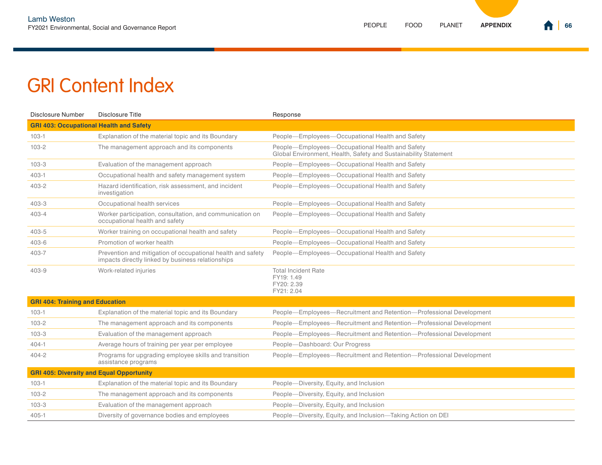| <b>Disclosure Number</b>                        | Disclosure Title                                                                                                 | Response                                                                                                           |
|-------------------------------------------------|------------------------------------------------------------------------------------------------------------------|--------------------------------------------------------------------------------------------------------------------|
| <b>GRI 403: Occupational Health and Safety</b>  |                                                                                                                  |                                                                                                                    |
| $103 - 1$                                       | Explanation of the material topic and its Boundary                                                               | People-Employees-Occupational Health and Safety                                                                    |
| $103 - 2$                                       | The management approach and its components                                                                       | People-Employees-Occupational Health and Safety<br>Global Environment, Health, Safety and Sustainability Statement |
| $103 - 3$                                       | Evaluation of the management approach                                                                            | People-Employees-Occupational Health and Safety                                                                    |
| $403-1$                                         | Occupational health and safety management system                                                                 | People-Employees-Occupational Health and Safety                                                                    |
| 403-2                                           | Hazard identification, risk assessment, and incident<br>investigation                                            | People-Employees-Occupational Health and Safety                                                                    |
| $403 - 3$                                       | Occupational health services                                                                                     | People-Employees-Occupational Health and Safety                                                                    |
| $403 - 4$                                       | Worker participation, consultation, and communication on<br>occupational health and safety                       | People-Employees-Occupational Health and Safety                                                                    |
| $403 - 5$                                       | Worker training on occupational health and safety                                                                | People-Employees-Occupational Health and Safety                                                                    |
| $403 - 6$                                       | Promotion of worker health                                                                                       | People-Employees-Occupational Health and Safety                                                                    |
| 403-7                                           | Prevention and mitigation of occupational health and safety<br>impacts directly linked by business relationships | People-Employees-Occupational Health and Safety                                                                    |
| $403 - 9$                                       | Work-related injuries                                                                                            | <b>Total Incident Rate</b><br>FY19: 1.49<br>FY20: 2.39<br>FY21: 2.04                                               |
| <b>GRI 404: Training and Education</b>          |                                                                                                                  |                                                                                                                    |
| $103 - 1$                                       | Explanation of the material topic and its Boundary                                                               | People-Employees-Recruitment and Retention-Professional Development                                                |
| $103 - 2$                                       | The management approach and its components                                                                       | People-Employees-Recruitment and Retention-Professional Development                                                |
| $103 - 3$                                       | Evaluation of the management approach                                                                            | People-Employees-Recruitment and Retention-Professional Development                                                |
| $404 - 1$                                       | Average hours of training per year per employee                                                                  | People-Dashboard: Our Progress                                                                                     |
| $404 - 2$                                       | Programs for upgrading employee skills and transition<br>assistance programs                                     | People-Employees-Recruitment and Retention-Professional Development                                                |
| <b>GRI 405: Diversity and Equal Opportunity</b> |                                                                                                                  |                                                                                                                    |
| $103 - 1$                                       | Explanation of the material topic and its Boundary                                                               | People-Diversity, Equity, and Inclusion                                                                            |
| $103 - 2$                                       | The management approach and its components                                                                       | People-Diversity, Equity, and Inclusion                                                                            |
| $103 - 3$                                       | Evaluation of the management approach                                                                            | People-Diversity, Equity, and Inclusion                                                                            |
| $405 - 1$                                       | Diversity of governance bodies and employees                                                                     | People—Diversity, Equity, and Inclusion—Taking Action on DEI                                                       |